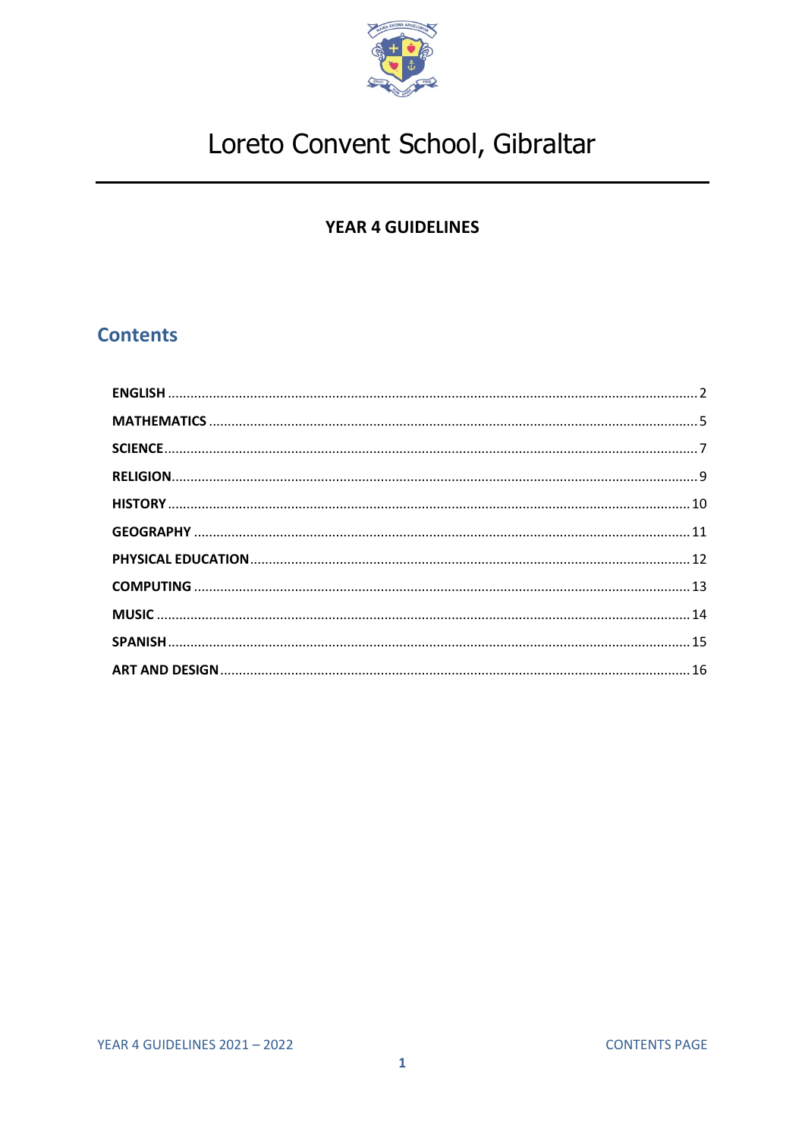

### **YEAR 4 GUIDELINES**

### <span id="page-0-0"></span>**Contents**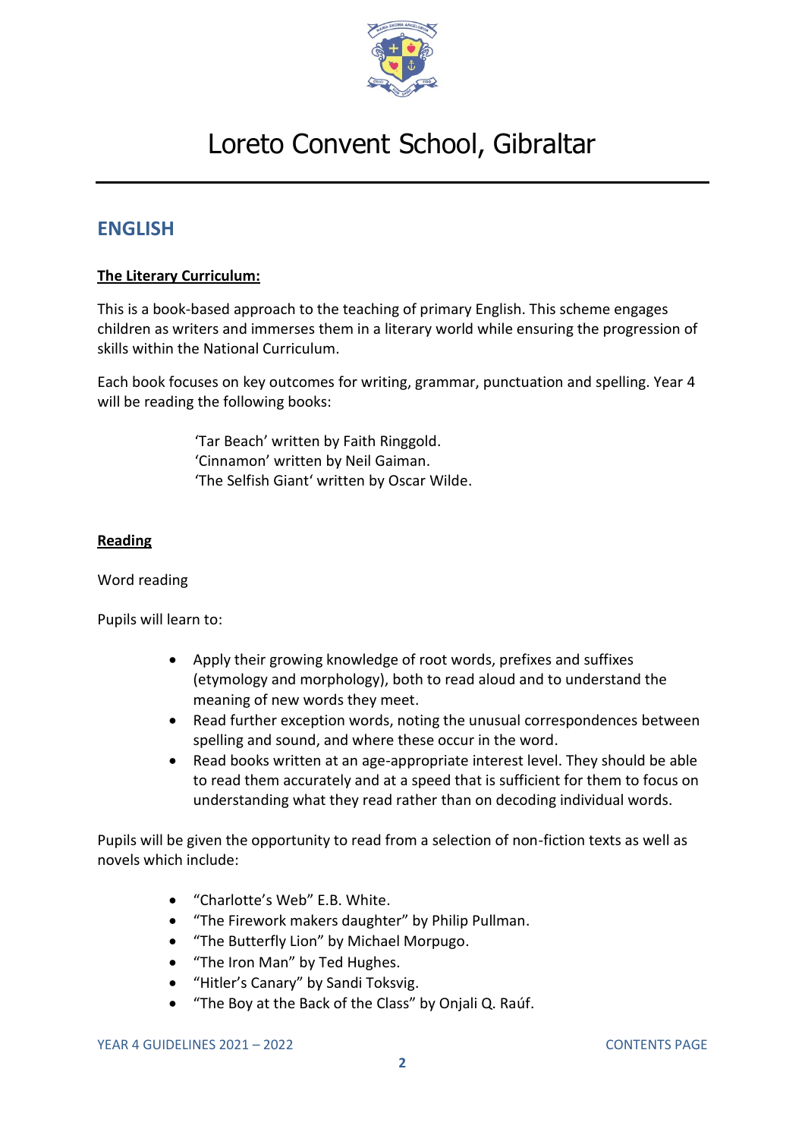

### <span id="page-1-0"></span>**ENGLISH**

#### **The Literary Curriculum:**

This is a book-based approach to the teaching of primary English. This scheme engages children as writers and immerses them in a literary world while ensuring the progression of skills within the National Curriculum.

Each book focuses on key outcomes for writing, grammar, punctuation and spelling. Year 4 will be reading the following books:

> 'Tar Beach' written by Faith Ringgold. 'Cinnamon' written by Neil Gaiman. 'The Selfish Giant' written by Oscar Wilde.

#### **Reading**

#### Word reading

Pupils will learn to:

- Apply their growing knowledge of root words, prefixes and suffixes (etymology and morphology), both to read aloud and to understand the meaning of new words they meet.
- Read further exception words, noting the unusual correspondences between spelling and sound, and where these occur in the word.
- Read books written at an age-appropriate interest level. They should be able to read them accurately and at a speed that is sufficient for them to focus on understanding what they read rather than on decoding individual words.

Pupils will be given the opportunity to read from a selection of non-fiction texts as well as novels which include:

- "Charlotte's Web" E.B. White.
- "The Firework makers daughter" by Philip Pullman.
- "The Butterfly Lion" by Michael Morpugo.
- "The Iron Man" by Ted Hughes.
- "Hitler's Canary" by Sandi Toksvig.
- "The Boy at the Back of the Class" by Onjali Q. Raúf.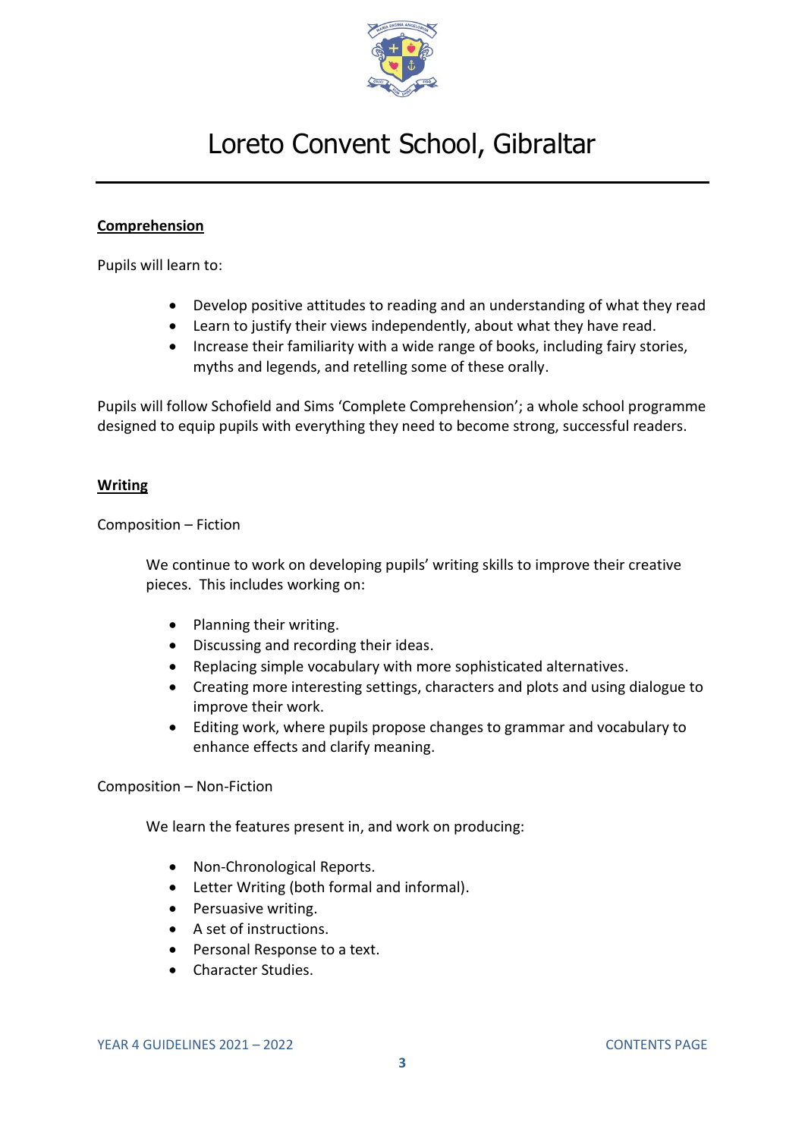

#### **Comprehension**

Pupils will learn to:

- Develop positive attitudes to reading and an understanding of what they read
- Learn to justify their views independently, about what they have read.
- Increase their familiarity with a wide range of books, including fairy stories, myths and legends, and retelling some of these orally.

Pupils will follow Schofield and Sims 'Complete Comprehension'; a whole school programme designed to equip pupils with everything they need to become strong, successful readers.

#### **Writing**

Composition – Fiction

We continue to work on developing pupils' writing skills to improve their creative pieces. This includes working on:

- Planning their writing.
- Discussing and recording their ideas.
- Replacing simple vocabulary with more sophisticated alternatives.
- Creating more interesting settings, characters and plots and using dialogue to improve their work.
- Editing work, where pupils propose changes to grammar and vocabulary to enhance effects and clarify meaning.

Composition – Non-Fiction

We learn the features present in, and work on producing:

- Non-Chronological Reports.
- Letter Writing (both formal and informal).
- Persuasive writing.
- A set of instructions.
- Personal Response to a text.
- Character Studies.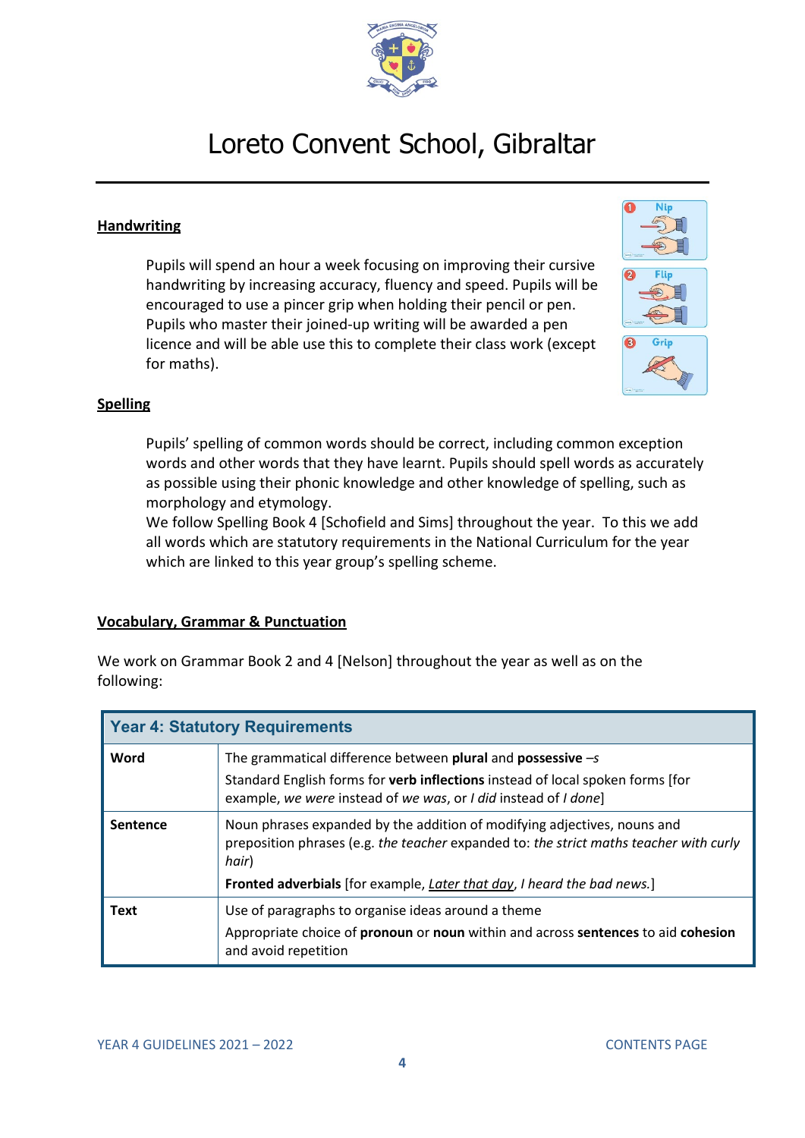

#### **Handwriting**

Pupils will spend an hour a week focusing on improving their cursive handwriting by increasing accuracy, fluency and speed. Pupils will be encouraged to use a pincer grip when holding their pencil or pen. Pupils who master their joined-up writing will be awarded a pen licence and will be able use this to complete their class work (except for maths).



#### **Spelling**

Pupils' spelling of common words should be correct, including common exception words and other words that they have learnt. Pupils should spell words as accurately as possible using their phonic knowledge and other knowledge of spelling, such as morphology and etymology.

We follow Spelling Book 4 [Schofield and Sims] throughout the year. To this we add all words which are statutory requirements in the National Curriculum for the year which are linked to this year group's spelling scheme.

#### **Vocabulary, Grammar & Punctuation**

We work on Grammar Book 2 and 4 [Nelson] throughout the year as well as on the following:

| <b>Year 4: Statutory Requirements</b> |                                                                                                                                                                                                                                                               |  |
|---------------------------------------|---------------------------------------------------------------------------------------------------------------------------------------------------------------------------------------------------------------------------------------------------------------|--|
| Word                                  | The grammatical difference between plural and possessive $-s$<br>Standard English forms for <b>verb inflections</b> instead of local spoken forms [for<br>example, we were instead of we was, or I did instead of I done]                                     |  |
| Sentence                              | Noun phrases expanded by the addition of modifying adjectives, nouns and<br>preposition phrases (e.g. the teacher expanded to: the strict maths teacher with curly<br>hair)<br><b>Fronted adverbials</b> [for example, Later that day, I heard the bad news.] |  |
| <b>Text</b>                           | Use of paragraphs to organise ideas around a theme                                                                                                                                                                                                            |  |
|                                       | Appropriate choice of pronoun or noun within and across sentences to aid cohesion<br>and avoid repetition                                                                                                                                                     |  |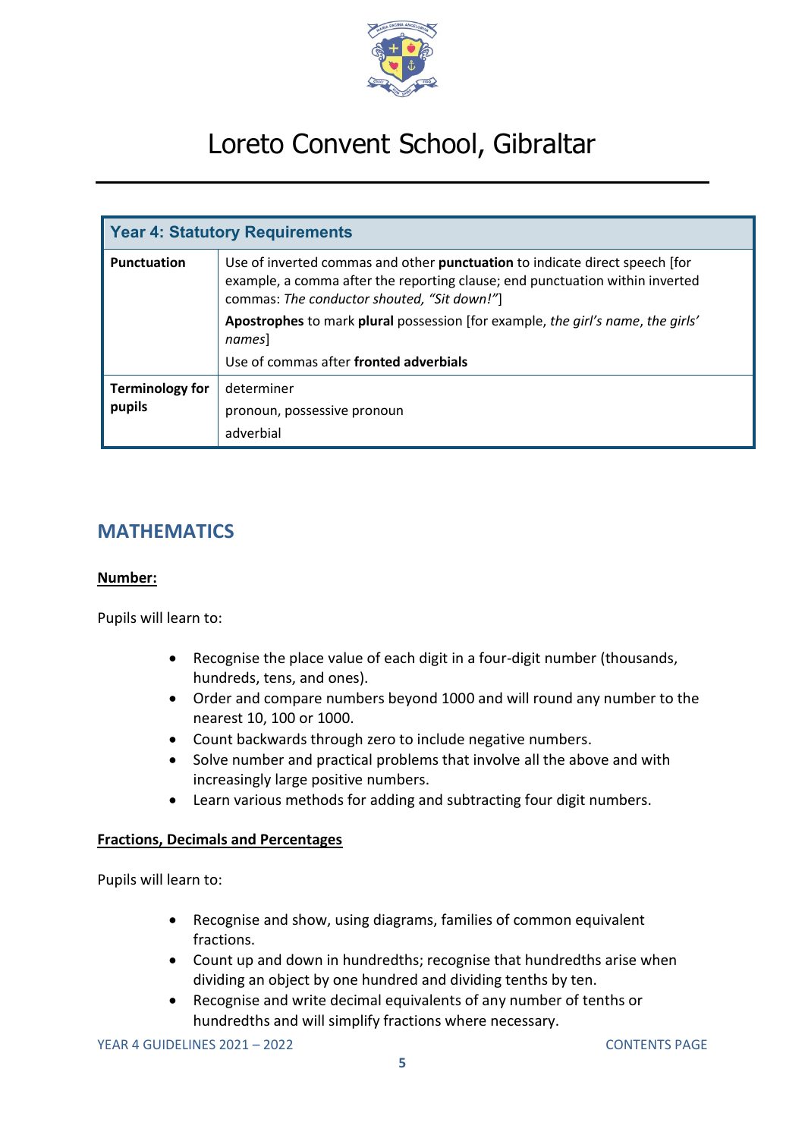

| <b>Year 4: Statutory Requirements</b> |                                                                                                                                                                                                            |  |
|---------------------------------------|------------------------------------------------------------------------------------------------------------------------------------------------------------------------------------------------------------|--|
| <b>Punctuation</b>                    | Use of inverted commas and other punctuation to indicate direct speech [for<br>example, a comma after the reporting clause; end punctuation within inverted<br>commas: The conductor shouted, "Sit down!"] |  |
|                                       | Apostrophes to mark plural possession [for example, the girl's name, the girls'<br>names]                                                                                                                  |  |
|                                       | Use of commas after fronted adverbials                                                                                                                                                                     |  |
| <b>Terminology for</b><br>pupils      | determiner                                                                                                                                                                                                 |  |
|                                       | pronoun, possessive pronoun                                                                                                                                                                                |  |
|                                       | adverbial                                                                                                                                                                                                  |  |

### <span id="page-4-0"></span>**MATHEMATICS**

#### **Number:**

Pupils will learn to:

- Recognise the place value of each digit in a four-digit number (thousands, hundreds, tens, and ones).
- Order and compare numbers beyond 1000 and will round any number to the nearest 10, 100 or 1000.
- Count backwards through zero to include negative numbers.
- Solve number and practical problems that involve all the above and with increasingly large positive numbers.
- Learn various methods for adding and subtracting four digit numbers.

#### **Fractions, Decimals and Percentages**

- Recognise and show, using diagrams, families of common equivalent fractions.
- Count up and down in hundredths; recognise that hundredths arise when dividing an object by one hundred and dividing tenths by ten.
- Recognise and write decimal equivalents of any number of tenths or hundredths and will simplify fractions where necessary.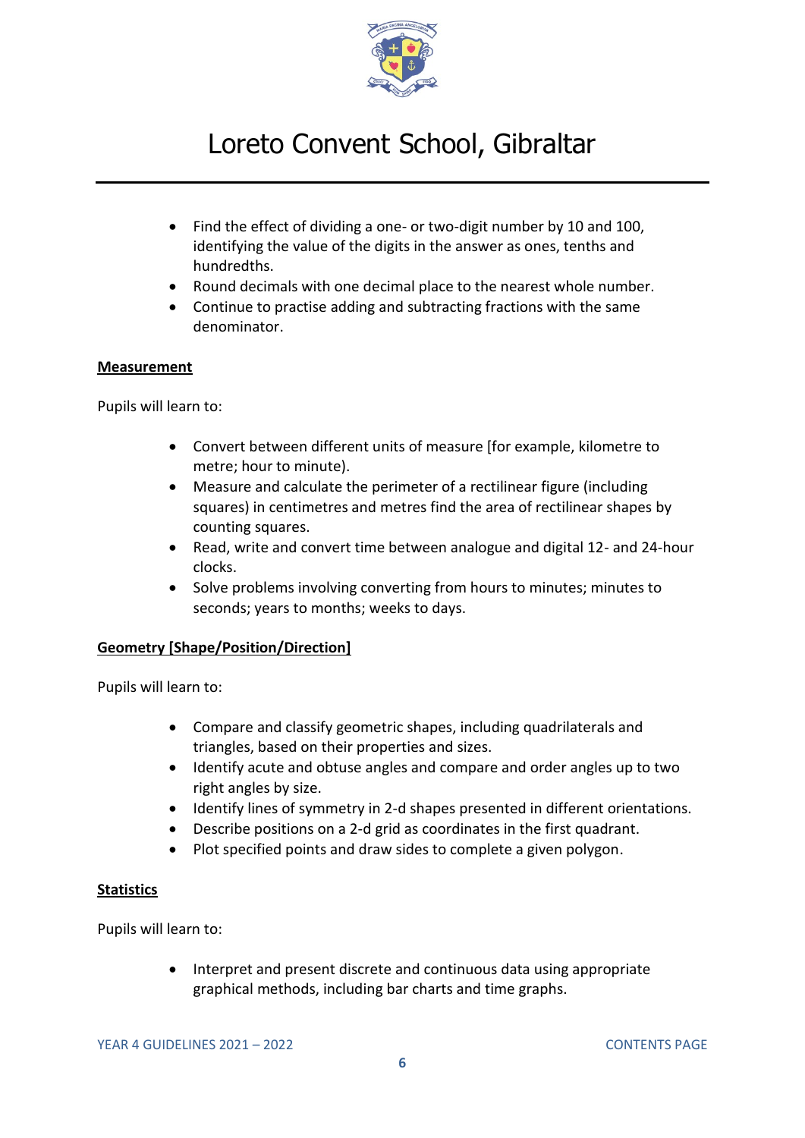

- Find the effect of dividing a one- or two-digit number by 10 and 100, identifying the value of the digits in the answer as ones, tenths and hundredths.
- Round decimals with one decimal place to the nearest whole number.
- Continue to practise adding and subtracting fractions with the same denominator.

#### **Measurement**

Pupils will learn to:

- Convert between different units of measure [for example, kilometre to metre; hour to minute).
- Measure and calculate the perimeter of a rectilinear figure (including squares) in centimetres and metres find the area of rectilinear shapes by counting squares.
- Read, write and convert time between analogue and digital 12- and 24-hour clocks.
- Solve problems involving converting from hours to minutes; minutes to seconds; years to months; weeks to days.

#### **Geometry [Shape/Position/Direction]**

Pupils will learn to:

- Compare and classify geometric shapes, including quadrilaterals and triangles, based on their properties and sizes.
- Identify acute and obtuse angles and compare and order angles up to two right angles by size.
- Identify lines of symmetry in 2-d shapes presented in different orientations.
- Describe positions on a 2-d grid as coordinates in the first quadrant.
- Plot specified points and draw sides to complete a given polygon.

#### **Statistics**

Pupils will learn to:

• Interpret and present discrete and continuous data using appropriate graphical methods, including bar charts and time graphs.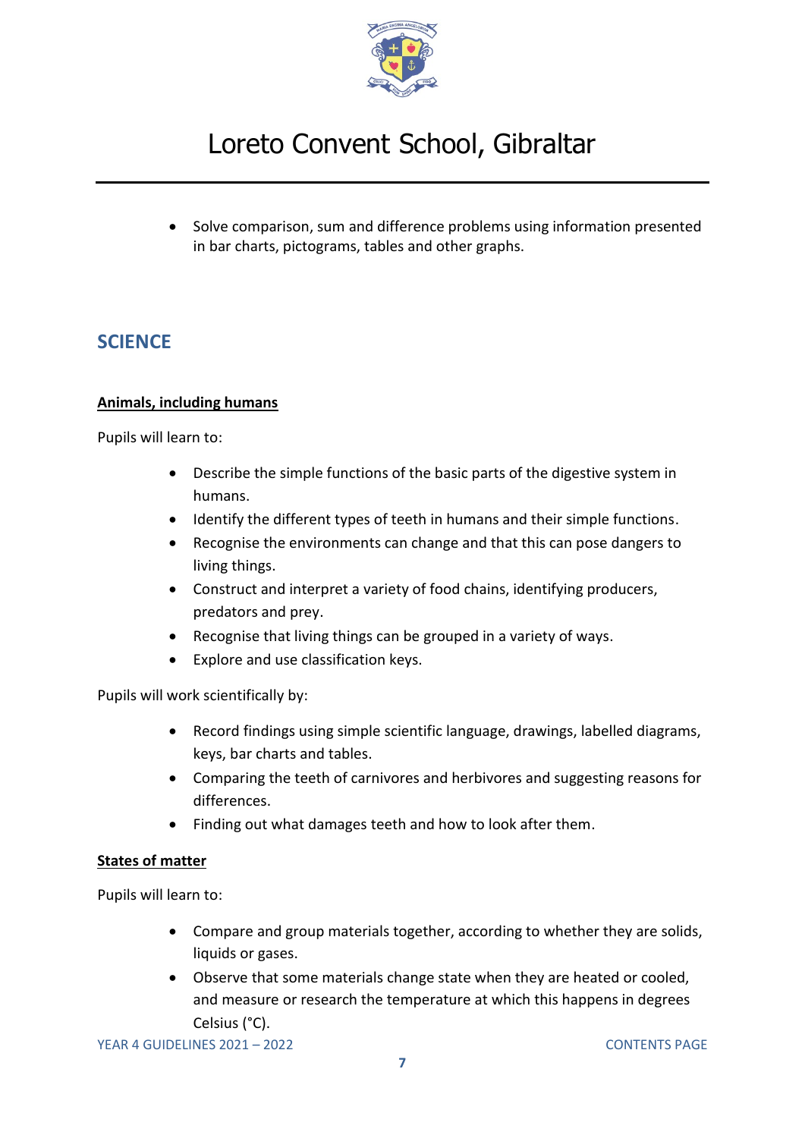

• Solve comparison, sum and difference problems using information presented in bar charts, pictograms, tables and other graphs.

### <span id="page-6-0"></span>**SCIENCE**

#### **Animals, including humans**

Pupils will learn to:

- Describe the simple functions of the basic parts of the digestive system in humans.
- Identify the different types of teeth in humans and their simple functions.
- Recognise the environments can change and that this can pose dangers to living things.
- Construct and interpret a variety of food chains, identifying producers, predators and prey.
- Recognise that living things can be grouped in a variety of ways.
- Explore and use classification keys.

Pupils will work scientifically by:

- Record findings using simple scientific language, drawings, labelled diagrams, keys, bar charts and tables.
- Comparing the teeth of carnivores and herbivores and suggesting reasons for differences.
- Finding out what damages teeth and how to look after them.

#### **States of matter**

- Compare and group materials together, according to whether they are solids, liquids or gases.
- Observe that some materials change state when they are heated or cooled, and measure or research the temperature at which this happens in degrees Celsius (°C).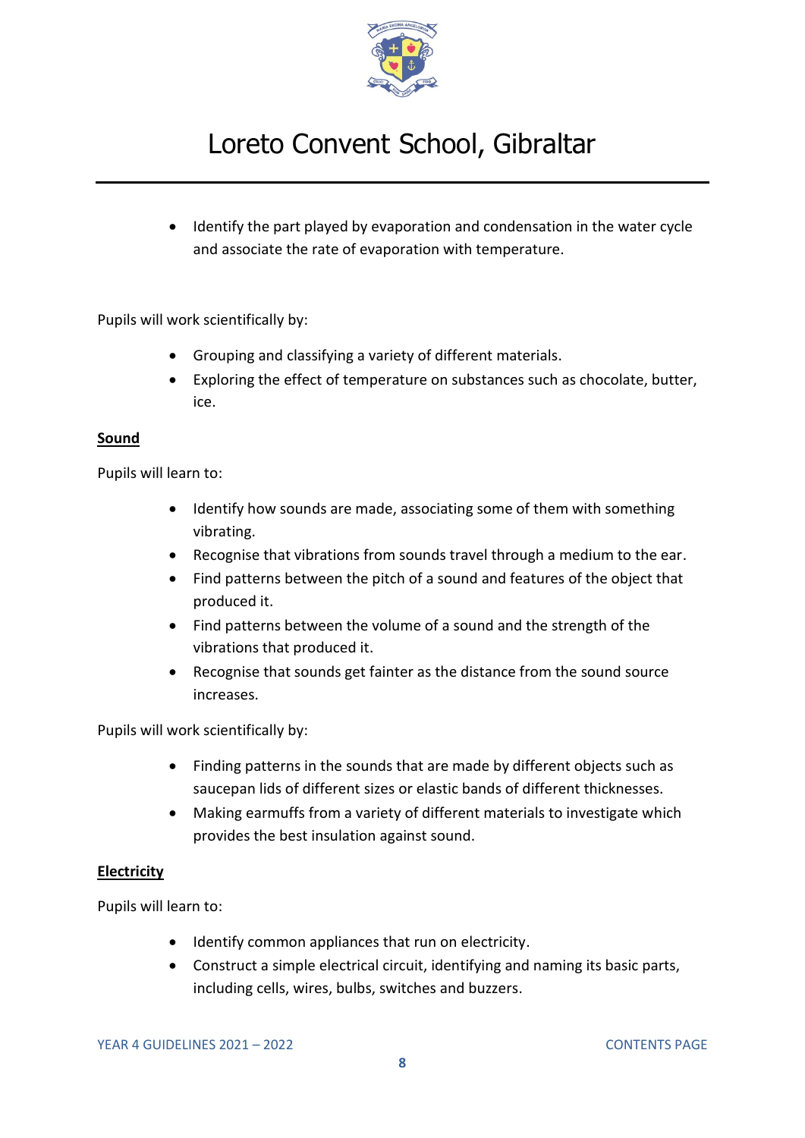

• Identify the part played by evaporation and condensation in the water cycle and associate the rate of evaporation with temperature.

Pupils will work scientifically by:

- Grouping and classifying a variety of different materials.
- Exploring the effect of temperature on substances such as chocolate, butter, ice.

#### **Sound**

Pupils will learn to:

- Identify how sounds are made, associating some of them with something vibrating.
- Recognise that vibrations from sounds travel through a medium to the ear.
- Find patterns between the pitch of a sound and features of the object that produced it.
- Find patterns between the volume of a sound and the strength of the vibrations that produced it.
- Recognise that sounds get fainter as the distance from the sound source increases.

Pupils will work scientifically by:

- Finding patterns in the sounds that are made by different objects such as saucepan lids of different sizes or elastic bands of different thicknesses.
- Making earmuffs from a variety of different materials to investigate which provides the best insulation against sound.

#### **Electricity**

- Identify common appliances that run on electricity.
- Construct a simple electrical circuit, identifying and naming its basic parts, including cells, wires, bulbs, switches and buzzers.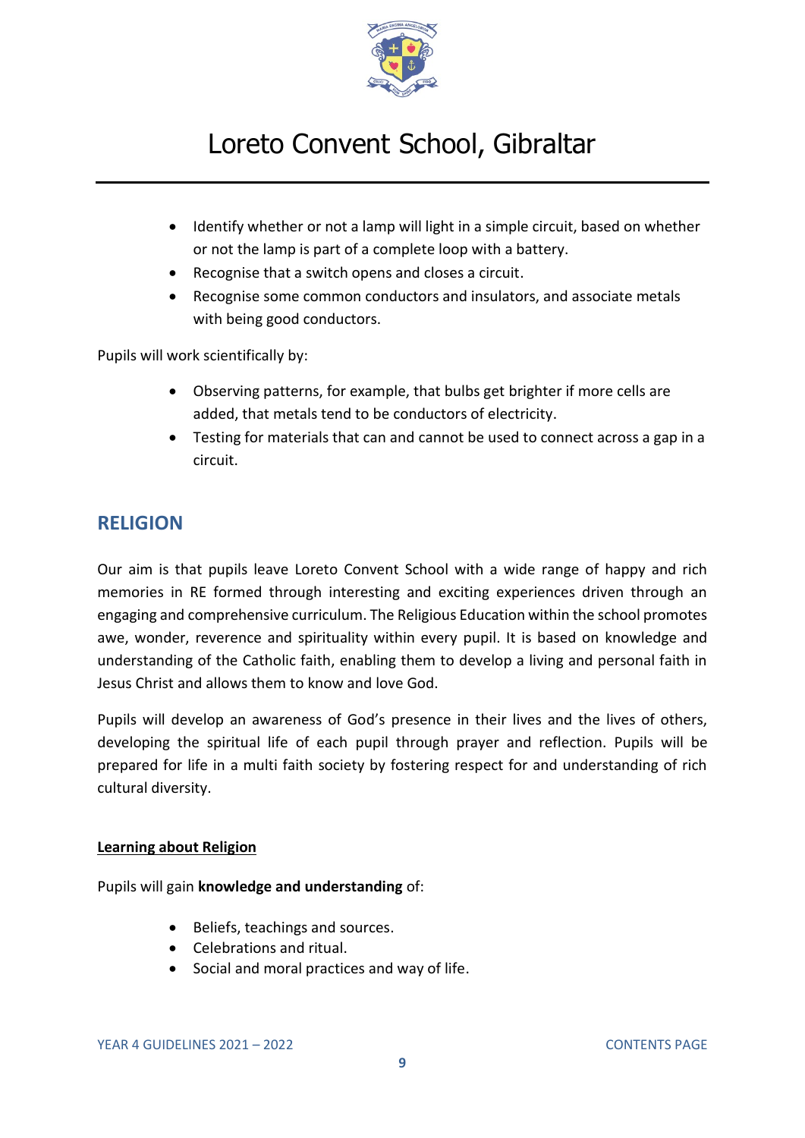

- Identify whether or not a lamp will light in a simple circuit, based on whether or not the lamp is part of a complete loop with a battery.
- Recognise that a switch opens and closes a circuit.
- Recognise some common conductors and insulators, and associate metals with being good conductors.

Pupils will work scientifically by:

- Observing patterns, for example, that bulbs get brighter if more cells are added, that metals tend to be conductors of electricity.
- Testing for materials that can and cannot be used to connect across a gap in a circuit.

### <span id="page-8-0"></span>**RELIGION**

Our aim is that pupils leave Loreto Convent School with a wide range of happy and rich memories in RE formed through interesting and exciting experiences driven through an engaging and comprehensive curriculum. The Religious Education within the school promotes awe, wonder, reverence and spirituality within every pupil. It is based on knowledge and understanding of the Catholic faith, enabling them to develop a living and personal faith in Jesus Christ and allows them to know and love God.

Pupils will develop an awareness of God's presence in their lives and the lives of others, developing the spiritual life of each pupil through prayer and reflection. Pupils will be prepared for life in a multi faith society by fostering respect for and understanding of rich cultural diversity.

#### **Learning about Religion**

Pupils will gain **knowledge and understanding** of:

- Beliefs, teachings and sources.
- Celebrations and ritual.
- Social and moral practices and way of life.

YEAR 4 GUIDELINES 2021 – 2022 [CONTENTS PAGE](#page-0-0)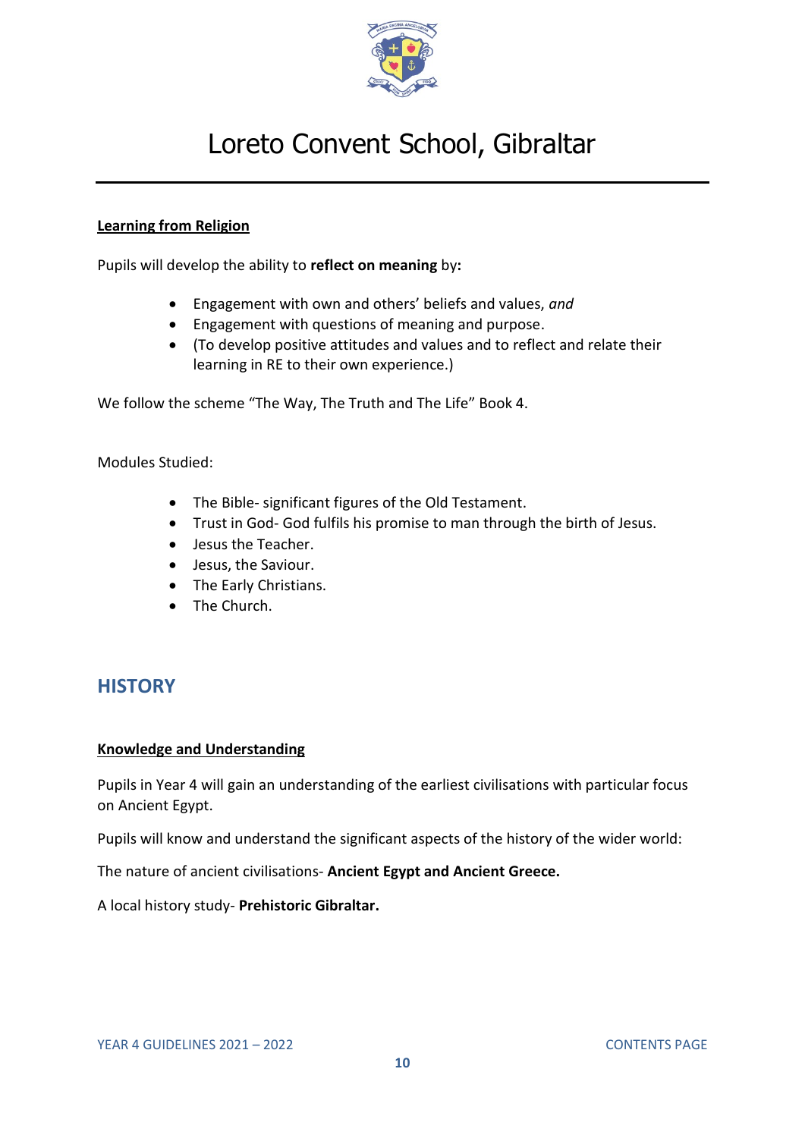

#### **Learning from Religion**

Pupils will develop the ability to **reflect on meaning** by**:**

- Engagement with own and others' beliefs and values, *and*
- Engagement with questions of meaning and purpose.
- (To develop positive attitudes and values and to reflect and relate their learning in RE to their own experience.)

We follow the scheme "The Way, The Truth and The Life" Book 4.

Modules Studied:

- The Bible- significant figures of the Old Testament.
- Trust in God- God fulfils his promise to man through the birth of Jesus.
- Jesus the Teacher.
- Jesus, the Saviour.
- The Early Christians.
- The Church.

### <span id="page-9-0"></span>**HISTORY**

#### **Knowledge and Understanding**

Pupils in Year 4 will gain an understanding of the earliest civilisations with particular focus on Ancient Egypt.

Pupils will know and understand the significant aspects of the history of the wider world:

The nature of ancient civilisations- **Ancient Egypt and Ancient Greece.**

A local history study- **Prehistoric Gibraltar.**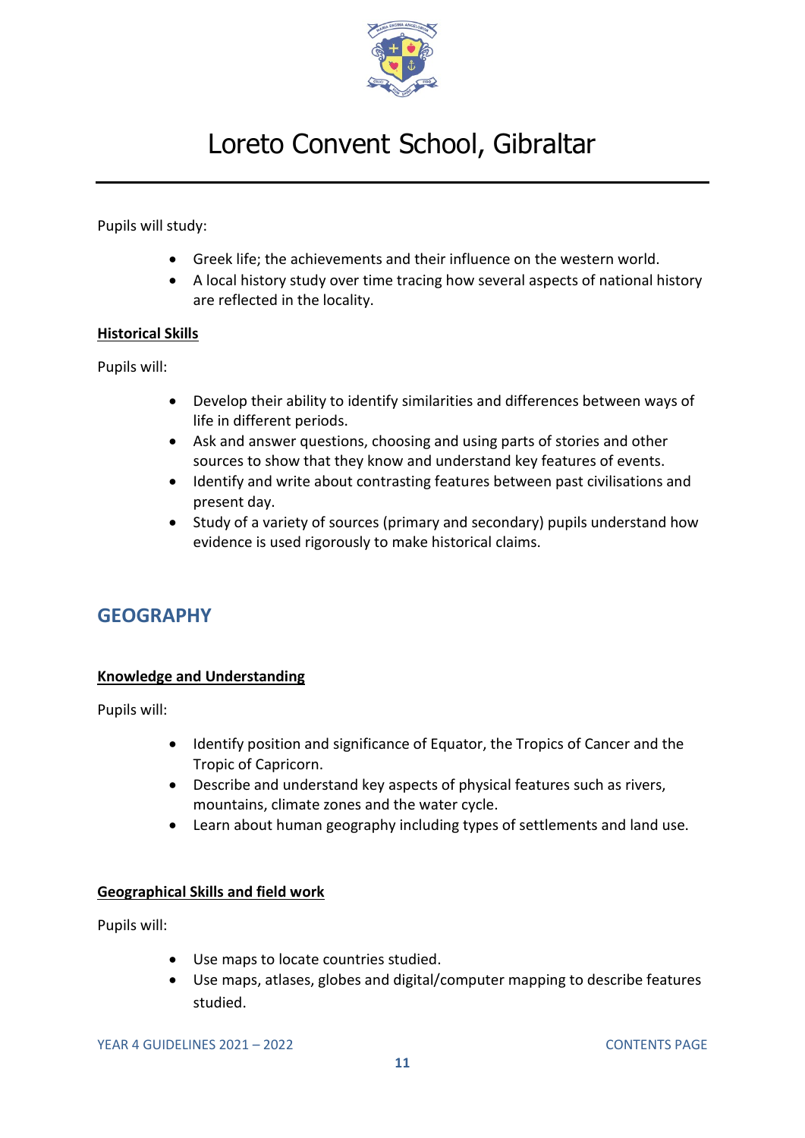

Pupils will study:

- Greek life; the achievements and their influence on the western world.
- A local history study over time tracing how several aspects of national history are reflected in the locality.

#### **Historical Skills**

Pupils will:

- Develop their ability to identify similarities and differences between ways of life in different periods.
- Ask and answer questions, choosing and using parts of stories and other sources to show that they know and understand key features of events.
- Identify and write about contrasting features between past civilisations and present day.
- Study of a variety of sources (primary and secondary) pupils understand how evidence is used rigorously to make historical claims.

### <span id="page-10-0"></span>**GEOGRAPHY**

#### **Knowledge and Understanding**

Pupils will:

- Identify position and significance of Equator, the Tropics of Cancer and the Tropic of Capricorn.
- Describe and understand key aspects of physical features such as rivers, mountains, climate zones and the water cycle.
- Learn about human geography including types of settlements and land use.

#### **Geographical Skills and field work**

Pupils will:

- Use maps to locate countries studied.
- Use maps, atlases, globes and digital/computer mapping to describe features studied.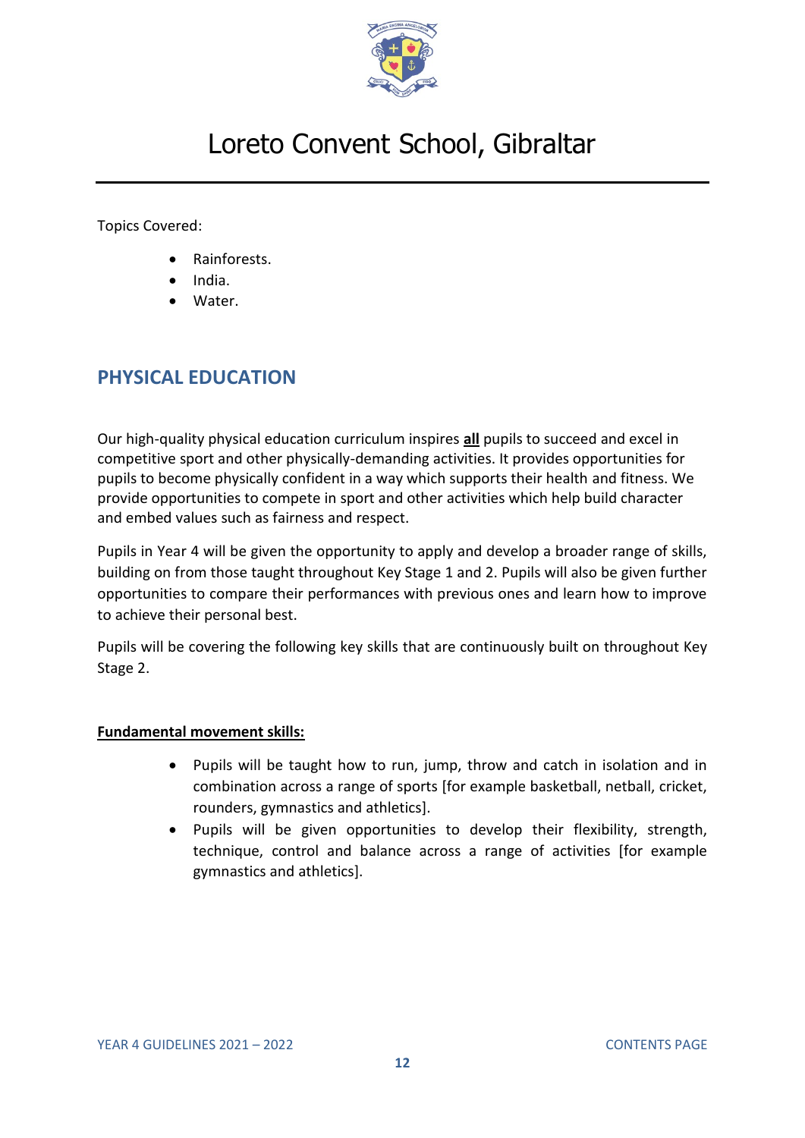

Topics Covered:

- Rainforests.
- India.
- Water.

### <span id="page-11-0"></span>**PHYSICAL EDUCATION**

Our high-quality physical education curriculum inspires **all** pupils to succeed and excel in competitive sport and other physically-demanding activities. It provides opportunities for pupils to become physically confident in a way which supports their health and fitness. We provide opportunities to compete in sport and other activities which help build character and embed values such as fairness and respect.

Pupils in Year 4 will be given the opportunity to apply and develop a broader range of skills, building on from those taught throughout Key Stage 1 and 2. Pupils will also be given further opportunities to compare their performances with previous ones and learn how to improve to achieve their personal best.

Pupils will be covering the following key skills that are continuously built on throughout Key Stage 2.

#### **Fundamental movement skills:**

- Pupils will be taught how to run, jump, throw and catch in isolation and in combination across a range of sports [for example basketball, netball, cricket, rounders, gymnastics and athletics].
- Pupils will be given opportunities to develop their flexibility, strength, technique, control and balance across a range of activities [for example gymnastics and athletics].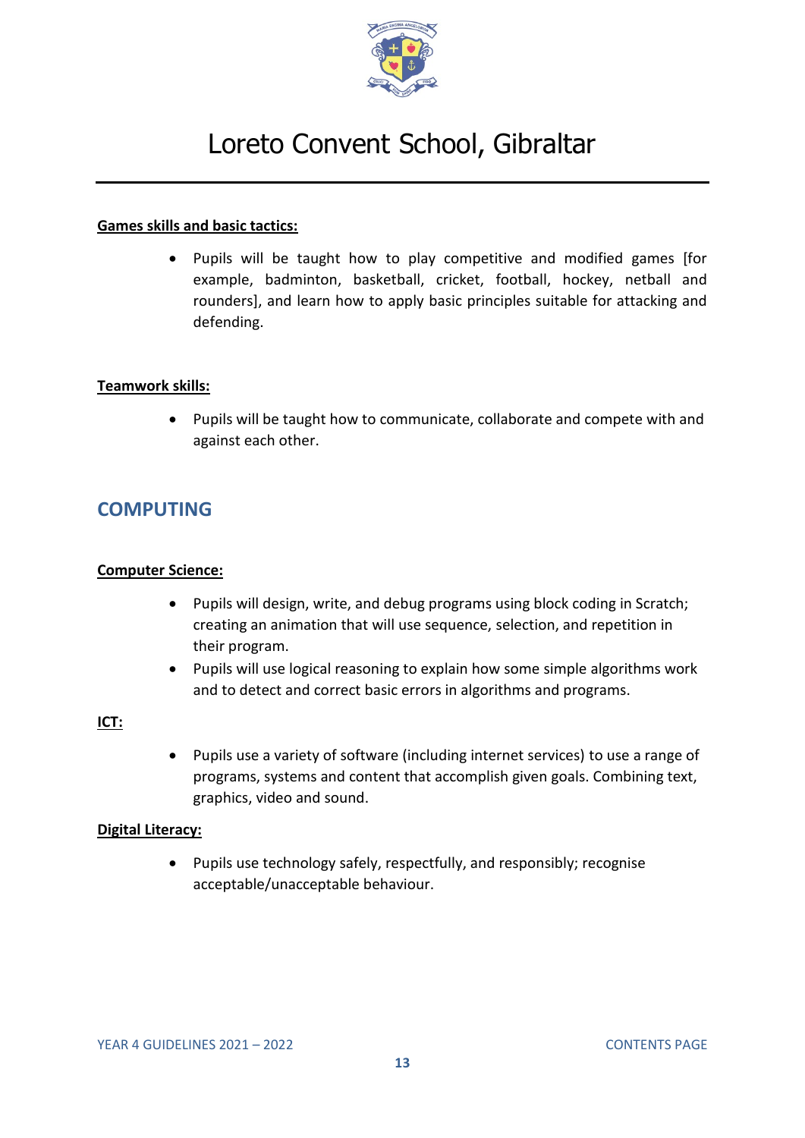

#### **Games skills and basic tactics:**

• Pupils will be taught how to play competitive and modified games [for example, badminton, basketball, cricket, football, hockey, netball and rounders], and learn how to apply basic principles suitable for attacking and defending.

#### **Teamwork skills:**

• Pupils will be taught how to communicate, collaborate and compete with and against each other.

### <span id="page-12-0"></span>**COMPUTING**

#### **Computer Science:**

- Pupils will design, write, and debug programs using block coding in Scratch; creating an animation that will use sequence, selection, and repetition in their program.
- Pupils will use logical reasoning to explain how some simple algorithms work and to detect and correct basic errors in algorithms and programs.

#### **ICT:**

• Pupils use a variety of software (including internet services) to use a range of programs, systems and content that accomplish given goals. Combining text, graphics, video and sound.

#### **Digital Literacy:**

• Pupils use technology safely, respectfully, and responsibly; recognise acceptable/unacceptable behaviour.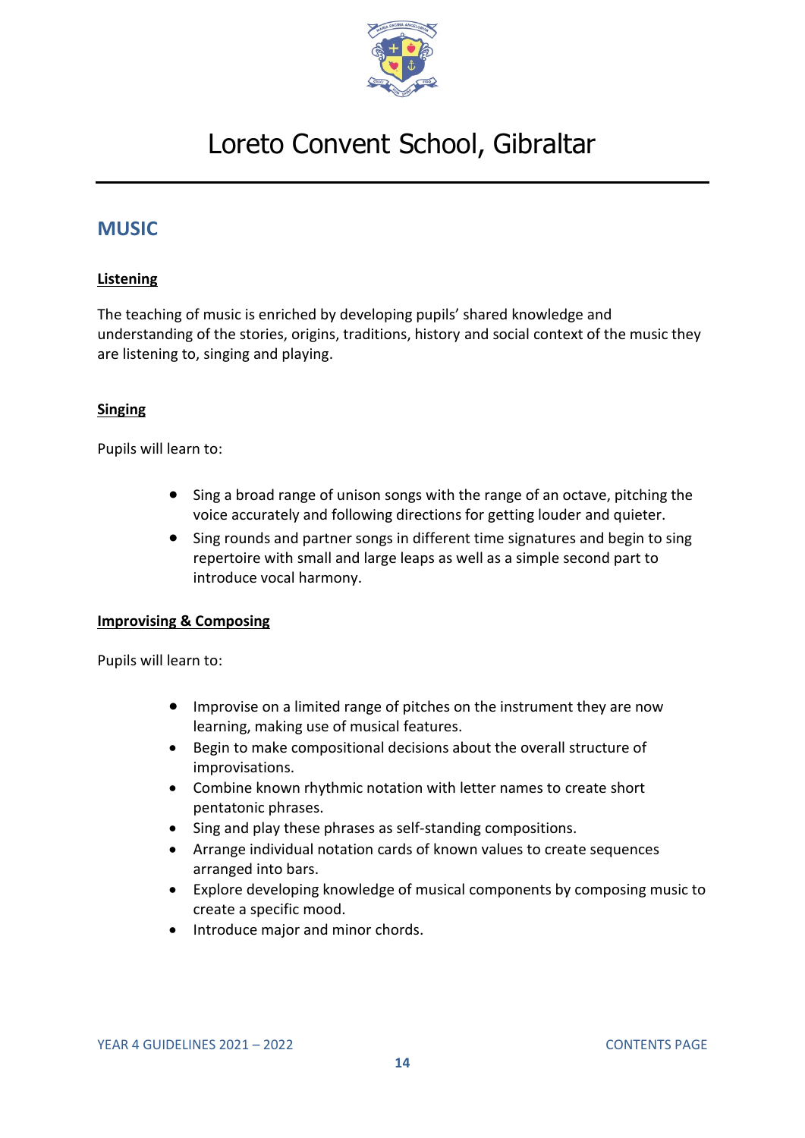

### <span id="page-13-0"></span>**MUSIC**

#### **Listening**

The teaching of music is enriched by developing pupils' shared knowledge and understanding of the stories, origins, traditions, history and social context of the music they are listening to, singing and playing.

#### **Singing**

Pupils will learn to:

- Sing a broad range of unison songs with the range of an octave, pitching the voice accurately and following directions for getting louder and quieter.
- Sing rounds and partner songs in different time signatures and begin to sing repertoire with small and large leaps as well as a simple second part to introduce vocal harmony.

#### **Improvising & Composing**

- Improvise on a limited range of pitches on the instrument they are now learning, making use of musical features.
- Begin to make compositional decisions about the overall structure of improvisations.
- Combine known rhythmic notation with letter names to create short pentatonic phrases.
- Sing and play these phrases as self-standing compositions.
- Arrange individual notation cards of known values to create sequences arranged into bars.
- Explore developing knowledge of musical components by composing music to create a specific mood.
- Introduce major and minor chords.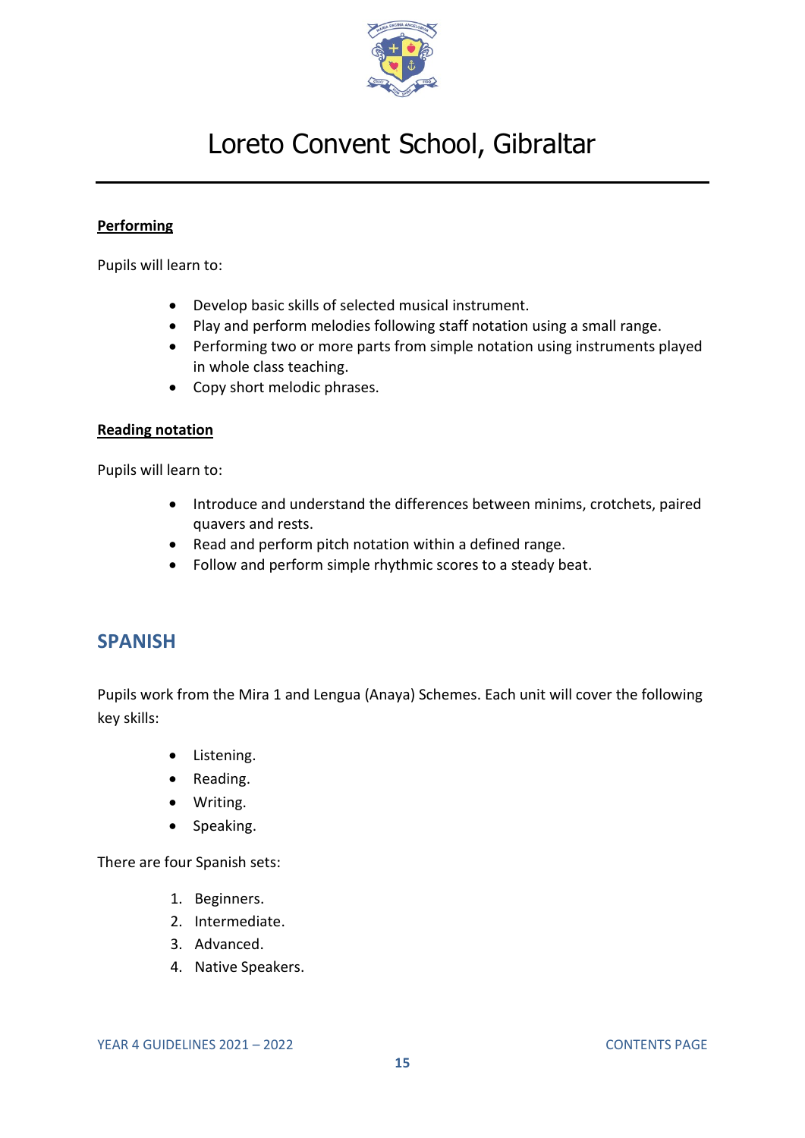

#### **Performing**

Pupils will learn to:

- Develop basic skills of selected musical instrument.
- Play and perform melodies following staff notation using a small range.
- Performing two or more parts from simple notation using instruments played in whole class teaching.
- Copy short melodic phrases.

#### **Reading notation**

Pupils will learn to:

- Introduce and understand the differences between minims, crotchets, paired quavers and rests.
- Read and perform pitch notation within a defined range.
- Follow and perform simple rhythmic scores to a steady beat.

### <span id="page-14-0"></span>**SPANISH**

Pupils work from the Mira 1 and Lengua (Anaya) Schemes. Each unit will cover the following key skills:

- Listening.
- Reading.
- Writing.
- Speaking.

There are four Spanish sets:

- 1. Beginners.
- 2. Intermediate.
- 3. Advanced.
- 4. Native Speakers.

YEAR 4 GUIDELINES 2021 – 2022 [CONTENTS PAGE](#page-0-0)